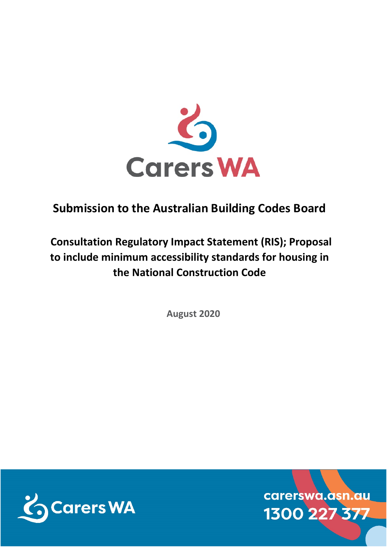

## **Submission to the Australian Building Codes Board**

# **Consultation Regulatory Impact Statement (RIS); Proposal to include minimum accessibility standards for housing in the National Construction Code**

**August 2020**



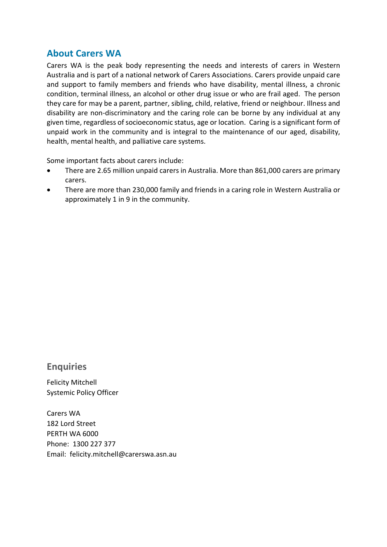#### **About Carers WA**

Carers WA is the peak body representing the needs and interests of carers in Western Australia and is part of a national network of Carers Associations. Carers provide unpaid care and support to family members and friends who have disability, mental illness, a chronic condition, terminal illness, an alcohol or other drug issue or who are frail aged. The person they care for may be a parent, partner, sibling, child, relative, friend or neighbour. Illness and disability are non-discriminatory and the caring role can be borne by any individual at any given time, regardless of socioeconomic status, age or location. Caring is a significant form of unpaid work in the community and is integral to the maintenance of our aged, disability, health, mental health, and palliative care systems.

Some important facts about carers include:

- There are 2.65 million unpaid carers in Australia. More than 861,000 carers are primary carers.
- There are more than 230,000 family and friends in a caring role in Western Australia or approximately 1 in 9 in the community.

#### **Enquiries**

Felicity Mitchell Systemic Policy Officer

Carers WA 182 Lord Street PERTH WA 6000 Phone: 1300 227 377 Email: felicity.mitchell@carerswa.asn.au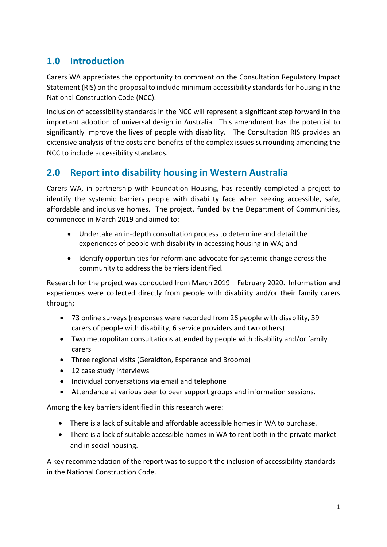#### **1.0 Introduction**

Carers WA appreciates the opportunity to comment on the Consultation Regulatory Impact Statement (RIS) on the proposal to include minimum accessibility standards for housing in the National Construction Code (NCC).

Inclusion of accessibility standards in the NCC will represent a significant step forward in the important adoption of universal design in Australia. This amendment has the potential to significantly improve the lives of people with disability. The Consultation RIS provides an extensive analysis of the costs and benefits of the complex issues surrounding amending the NCC to include accessibility standards.

### **2.0 Report into disability housing in Western Australia**

Carers WA, in partnership with Foundation Housing, has recently completed a project to identify the systemic barriers people with disability face when seeking accessible, safe, affordable and inclusive homes. The project, funded by the Department of Communities, commenced in March 2019 and aimed to:

- Undertake an in-depth consultation process to determine and detail the experiences of people with disability in accessing housing in WA; and
- Identify opportunities for reform and advocate for systemic change across the community to address the barriers identified.

Research for the project was conducted from March 2019 – February 2020. Information and experiences were collected directly from people with disability and/or their family carers through;

- 73 online surveys (responses were recorded from 26 people with disability, 39 carers of people with disability, 6 service providers and two others)
- Two metropolitan consultations attended by people with disability and/or family carers
- Three regional visits (Geraldton, Esperance and Broome)
- 12 case study interviews
- Individual conversations via email and telephone
- Attendance at various peer to peer support groups and information sessions.

Among the key barriers identified in this research were:

- There is a lack of suitable and affordable accessible homes in WA to purchase.
- There is a lack of suitable accessible homes in WA to rent both in the private market and in social housing.

A key recommendation of the report was to support the inclusion of accessibility standards in the National Construction Code.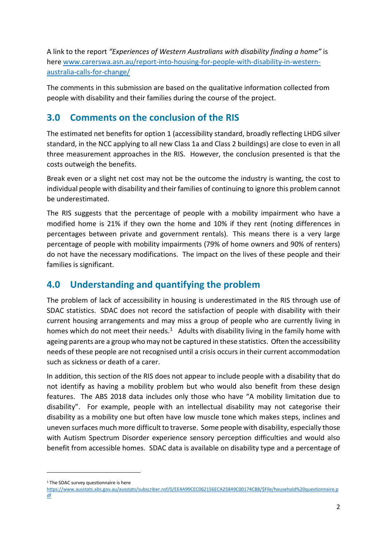A link to the report *"Experiences of Western Australians with disability finding a home"* is here [www.carerswa.asn.au/report-into-housing-for-people-with-disability-in-western](http://www.carerswa.asn.au/report-into-housing-for-people-with-disability-in-western-australia-calls-for-change/)[australia-calls-for-change/](http://www.carerswa.asn.au/report-into-housing-for-people-with-disability-in-western-australia-calls-for-change/)

The comments in this submission are based on the qualitative information collected from people with disability and their families during the course of the project.

#### **3.0 Comments on the conclusion of the RIS**

The estimated net benefits for option 1 (accessibility standard, broadly reflecting LHDG silver standard, in the NCC applying to all new Class 1a and Class 2 buildings) are close to even in all three measurement approaches in the RIS. However, the conclusion presented is that the costs outweigh the benefits.

Break even or a slight net cost may not be the outcome the industry is wanting, the cost to individual people with disability and their families of continuing to ignore this problem cannot be underestimated.

The RIS suggests that the percentage of people with a mobility impairment who have a modified home is 21% if they own the home and 10% if they rent (noting differences in percentages between private and government rentals). This means there is a very large percentage of people with mobility impairments (79% of home owners and 90% of renters) do not have the necessary modifications. The impact on the lives of these people and their families is significant.

### **4.0 Understanding and quantifying the problem**

The problem of lack of accessibility in housing is underestimated in the RIS through use of SDAC statistics. SDAC does not record the satisfaction of people with disability with their current housing arrangements and may miss a group of people who are currently living in homes which do not meet their needs.<sup>1</sup> Adults with disability living in the family home with ageing parents are a group who may not be captured in these statistics. Often the accessibility needs of these people are not recognised until a crisis occurs in their current accommodation such as sickness or death of a carer.

In addition, this section of the RIS does not appear to include people with a disability that do not identify as having a mobility problem but who would also benefit from these design features. The ABS 2018 data includes only those who have "A mobility limitation due to disability". For example, people with an intellectual disability may not categorise their disability as a mobility one but often have low muscle tone which makes steps, inclines and uneven surfaces much more difficult to traverse. Some people with disability, especially those with Autism Spectrum Disorder experience sensory perception difficulties and would also benefit from accessible homes. SDAC data is available on disability type and a percentage of

<span id="page-3-0"></span><sup>&</sup>lt;sup>1</sup> The SDAC survey questionnaire is here

[https://www.ausstats.abs.gov.au/ausstats/subscriber.nsf/0/EE4A99CEC062156ECA25849C00174CB8/\\$File/household%20questionnaire.p](https://www.ausstats.abs.gov.au/ausstats/subscriber.nsf/0/EE4A99CEC062156ECA25849C00174CB8/$File/household%20questionnaire.pdf) [df](https://www.ausstats.abs.gov.au/ausstats/subscriber.nsf/0/EE4A99CEC062156ECA25849C00174CB8/$File/household%20questionnaire.pdf)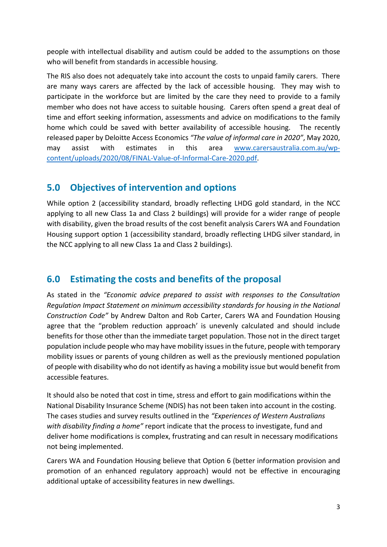people with intellectual disability and autism could be added to the assumptions on those who will benefit from standards in accessible housing.

The RIS also does not adequately take into account the costs to unpaid family carers. There are many ways carers are affected by the lack of accessible housing. They may wish to participate in the workforce but are limited by the care they need to provide to a family member who does not have access to suitable housing. Carers often spend a great deal of time and effort seeking information, assessments and advice on modifications to the family home which could be saved with better availability of accessible housing. The recently released paper by Deloitte Access Economics *"The value of informal care in 2020"*, May 2020, may assist with estimates in this area [www.carersaustralia.com.au/wp](http://www.carersaustralia.com.au/wp-content/uploads/2020/08/FINAL-Value-of-Informal-Care-2020.pdf)[content/uploads/2020/08/FINAL-Value-of-Informal-Care-2020.pdf.](http://www.carersaustralia.com.au/wp-content/uploads/2020/08/FINAL-Value-of-Informal-Care-2020.pdf)

#### **5.0 Objectives of intervention and options**

While option 2 (accessibility standard, broadly reflecting LHDG gold standard, in the NCC applying to all new Class 1a and Class 2 buildings) will provide for a wider range of people with disability, given the broad results of the cost benefit analysis Carers WA and Foundation Housing support option 1 (accessibility standard, broadly reflecting LHDG silver standard, in the NCC applying to all new Class 1a and Class 2 buildings).

#### **6.0 Estimating the costs and benefits of the proposal**

As stated in the *"Economic advice prepared to assist with responses to the Consultation Regulation Impact Statement on minimum accessibility standards for housing in the National Construction Code"* by Andrew Dalton and Rob Carter, Carers WA and Foundation Housing agree that the "problem reduction approach' is unevenly calculated and should include benefits for those other than the immediate target population. Those not in the direct target population include people who may have mobility issues in the future, people with temporary mobility issues or parents of young children as well as the previously mentioned population of people with disability who do not identify as having a mobility issue but would benefit from accessible features.

It should also be noted that cost in time, stress and effort to gain modifications within the National Disability Insurance Scheme (NDIS) has not been taken into account in the costing. The cases studies and survey results outlined in the *"Experiences of Western Australians with disability finding a home"* report indicate that the process to investigate, fund and deliver home modifications is complex, frustrating and can result in necessary modifications not being implemented.

Carers WA and Foundation Housing believe that Option 6 (better information provision and promotion of an enhanced regulatory approach) would not be effective in encouraging additional uptake of accessibility features in new dwellings.